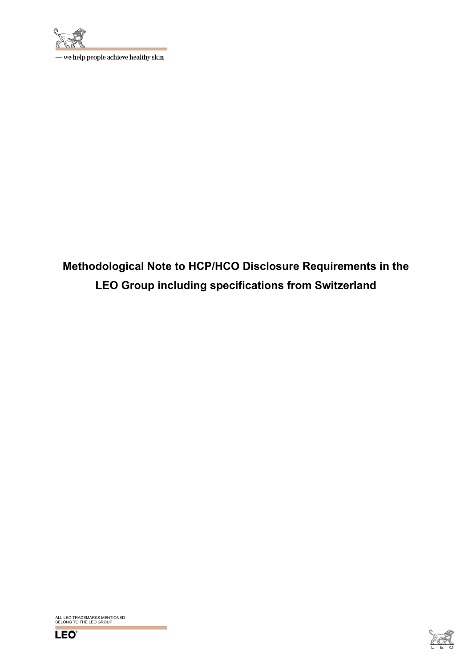

- we help people achieve healthy skin

**Methodological Note to HCP/HCO Disclosure Requirements in the LEO Group including specifications from Switzerland** 

ALL LEO TRADEMARKS MENTIONED BELONG TO THE LEO GROUP



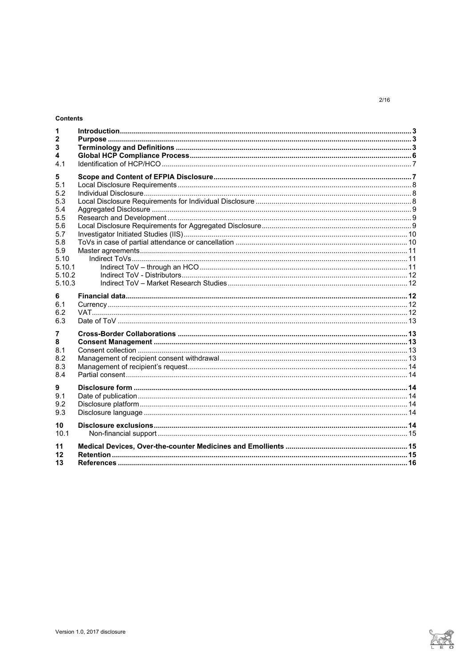# Contents

| 5.10.2<br>5.10.3 |
|------------------|

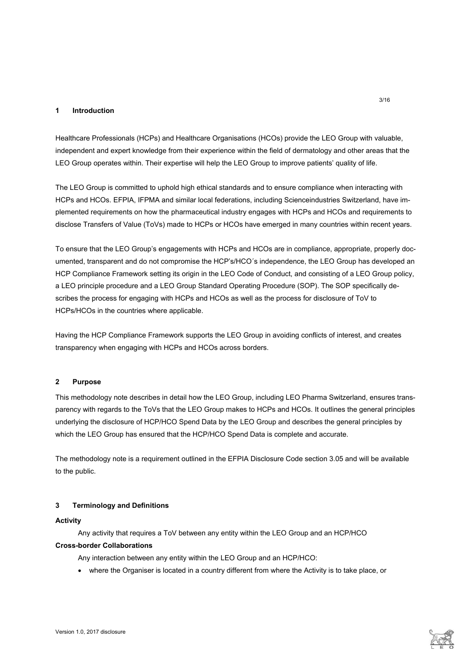# **1 Introduction**

Healthcare Professionals (HCPs) and Healthcare Organisations (HCOs) provide the LEO Group with valuable, independent and expert knowledge from their experience within the field of dermatology and other areas that the LEO Group operates within. Their expertise will help the LEO Group to improve patients' quality of life.

The LEO Group is committed to uphold high ethical standards and to ensure compliance when interacting with HCPs and HCOs. EFPIA, IFPMA and similar local federations, including Scienceindustries Switzerland, have implemented requirements on how the pharmaceutical industry engages with HCPs and HCOs and requirements to disclose Transfers of Value (ToVs) made to HCPs or HCOs have emerged in many countries within recent years.

To ensure that the LEO Group's engagements with HCPs and HCOs are in compliance, appropriate, properly documented, transparent and do not compromise the HCP's/HCO´s independence, the LEO Group has developed an HCP Compliance Framework setting its origin in the LEO Code of Conduct, and consisting of a LEO Group policy, a LEO principle procedure and a LEO Group Standard Operating Procedure (SOP). The SOP specifically describes the process for engaging with HCPs and HCOs as well as the process for disclosure of ToV to HCPs/HCOs in the countries where applicable.

Having the HCP Compliance Framework supports the LEO Group in avoiding conflicts of interest, and creates transparency when engaging with HCPs and HCOs across borders.

### **2 Purpose**

This methodology note describes in detail how the LEO Group, including LEO Pharma Switzerland, ensures transparency with regards to the ToVs that the LEO Group makes to HCPs and HCOs. It outlines the general principles underlying the disclosure of HCP/HCO Spend Data by the LEO Group and describes the general principles by which the LEO Group has ensured that the HCP/HCO Spend Data is complete and accurate.

The methodology note is a requirement outlined in the EFPIA Disclosure Code section 3.05 and will be available to the public.

#### **3 Terminology and Definitions**

#### **Activity**

Any activity that requires a ToV between any entity within the LEO Group and an HCP/HCO

# **Cross-border Collaborations**

Any interaction between any entity within the LEO Group and an HCP/HCO:

where the Organiser is located in a country different from where the Activity is to take place, or

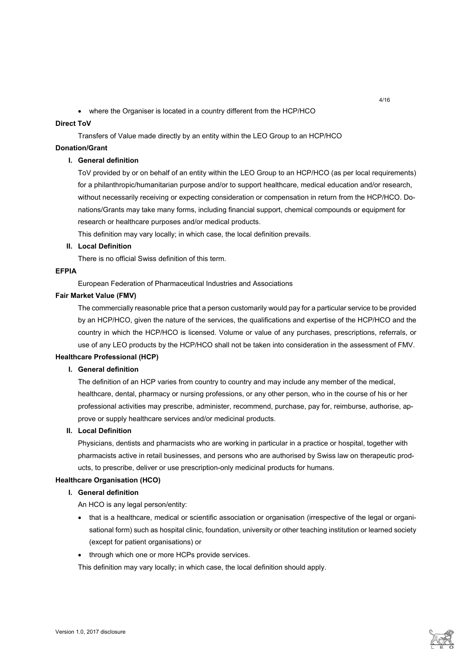where the Organiser is located in a country different from the HCP/HCO

# **Direct ToV**

Transfers of Value made directly by an entity within the LEO Group to an HCP/HCO

# **Donation/Grant**

# **I. General definition**

ToV provided by or on behalf of an entity within the LEO Group to an HCP/HCO (as per local requirements) for a philanthropic/humanitarian purpose and/or to support healthcare, medical education and/or research, without necessarily receiving or expecting consideration or compensation in return from the HCP/HCO. Donations/Grants may take many forms, including financial support, chemical compounds or equipment for research or healthcare purposes and/or medical products.

This definition may vary locally; in which case, the local definition prevails.

# **II. Local Definition**

There is no official Swiss definition of this term.

# **EFPIA**

European Federation of Pharmaceutical Industries and Associations

# **Fair Market Value (FMV)**

The commercially reasonable price that a person customarily would pay for a particular service to be provided by an HCP/HCO, given the nature of the services, the qualifications and expertise of the HCP/HCO and the country in which the HCP/HCO is licensed. Volume or value of any purchases, prescriptions, referrals, or use of any LEO products by the HCP/HCO shall not be taken into consideration in the assessment of FMV.

### **Healthcare Professional (HCP)**

# **I. General definition**

The definition of an HCP varies from country to country and may include any member of the medical, healthcare, dental, pharmacy or nursing professions, or any other person, who in the course of his or her professional activities may prescribe, administer, recommend, purchase, pay for, reimburse, authorise, approve or supply healthcare services and/or medicinal products.

# **II. Local Definition**

Physicians, dentists and pharmacists who are working in particular in a practice or hospital, together with pharmacists active in retail businesses, and persons who are authorised by Swiss law on therapeutic products, to prescribe, deliver or use prescription-only medicinal products for humans.

### **Healthcare Organisation (HCO)**

# **I. General definition**

An HCO is any legal person/entity:

- that is a healthcare, medical or scientific association or organisation (irrespective of the legal or organisational form) such as hospital clinic, foundation, university or other teaching institution or learned society (except for patient organisations) or
- through which one or more HCPs provide services.

This definition may vary locally; in which case, the local definition should apply.

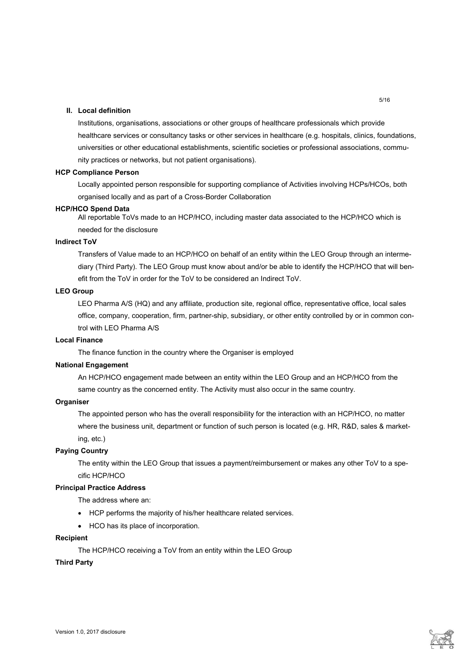# **II. Local definition**

Institutions, organisations, associations or other groups of healthcare professionals which provide healthcare services or consultancy tasks or other services in healthcare (e.g. hospitals, clinics, foundations, universities or other educational establishments, scientific societies or professional associations, community practices or networks, but not patient organisations).

#### **HCP Compliance Person**

Locally appointed person responsible for supporting compliance of Activities involving HCPs/HCOs, both organised locally and as part of a Cross-Border Collaboration

#### **HCP/HCO Spend Data**

All reportable ToVs made to an HCP/HCO, including master data associated to the HCP/HCO which is needed for the disclosure

# **Indirect ToV**

Transfers of Value made to an HCP/HCO on behalf of an entity within the LEO Group through an intermediary (Third Party). The LEO Group must know about and/or be able to identify the HCP/HCO that will benefit from the ToV in order for the ToV to be considered an Indirect ToV.

# **LEO Group**

LEO Pharma A/S (HQ) and any affiliate, production site, regional office, representative office, local sales office, company, cooperation, firm, partner-ship, subsidiary, or other entity controlled by or in common control with LEO Pharma A/S

#### **Local Finance**

The finance function in the country where the Organiser is employed

### **National Engagement**

An HCP/HCO engagement made between an entity within the LEO Group and an HCP/HCO from the same country as the concerned entity. The Activity must also occur in the same country.

### **Organiser**

The appointed person who has the overall responsibility for the interaction with an HCP/HCO, no matter where the business unit, department or function of such person is located (e.g. HR, R&D, sales & marketing, etc.)

## **Paying Country**

The entity within the LEO Group that issues a payment/reimbursement or makes any other ToV to a specific HCP/HCO

# **Principal Practice Address**

The address where an:

- HCP performs the majority of his/her healthcare related services.
- HCO has its place of incorporation.

#### **Recipient**

The HCP/HCO receiving a ToV from an entity within the LEO Group

#### **Third Party**

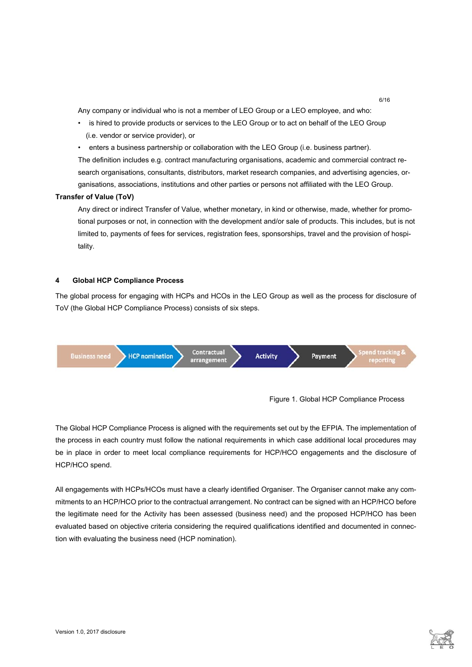Any company or individual who is not a member of LEO Group or a LEO employee, and who:

- is hired to provide products or services to the LEO Group or to act on behalf of the LEO Group (i.e. vendor or service provider), or
- enters a business partnership or collaboration with the LEO Group (i.e. business partner).

The definition includes e.g. contract manufacturing organisations, academic and commercial contract research organisations, consultants, distributors, market research companies, and advertising agencies, organisations, associations, institutions and other parties or persons not affiliated with the LEO Group.

### **Transfer of Value (ToV)**

Any direct or indirect Transfer of Value, whether monetary, in kind or otherwise, made, whether for promotional purposes or not, in connection with the development and/or sale of products. This includes, but is not limited to, payments of fees for services, registration fees, sponsorships, travel and the provision of hospitality.

# **4 Global HCP Compliance Process**

The global process for engaging with HCPs and HCOs in the LEO Group as well as the process for disclosure of ToV (the Global HCP Compliance Process) consists of six steps.





6/16

The Global HCP Compliance Process is aligned with the requirements set out by the EFPIA. The implementation of the process in each country must follow the national requirements in which case additional local procedures may be in place in order to meet local compliance requirements for HCP/HCO engagements and the disclosure of HCP/HCO spend.

All engagements with HCPs/HCOs must have a clearly identified Organiser. The Organiser cannot make any commitments to an HCP/HCO prior to the contractual arrangement. No contract can be signed with an HCP/HCO before the legitimate need for the Activity has been assessed (business need) and the proposed HCP/HCO has been evaluated based on objective criteria considering the required qualifications identified and documented in connection with evaluating the business need (HCP nomination).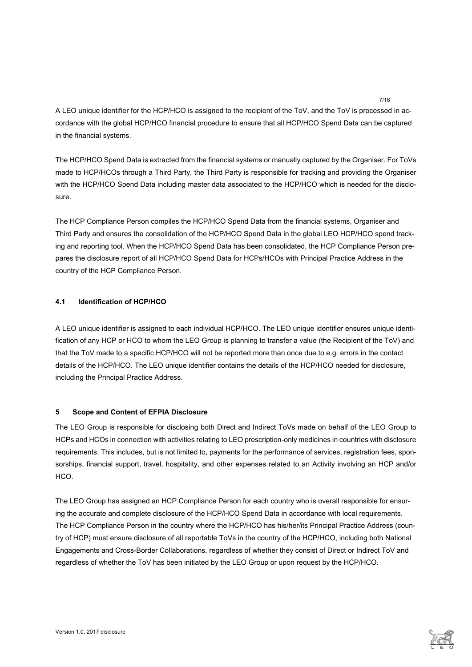A LEO unique identifier for the HCP/HCO is assigned to the recipient of the ToV, and the ToV is processed in accordance with the global HCP/HCO financial procedure to ensure that all HCP/HCO Spend Data can be captured in the financial systems.

The HCP/HCO Spend Data is extracted from the financial systems or manually captured by the Organiser. For ToVs made to HCP/HCOs through a Third Party, the Third Party is responsible for tracking and providing the Organiser with the HCP/HCO Spend Data including master data associated to the HCP/HCO which is needed for the disclosure.

The HCP Compliance Person compiles the HCP/HCO Spend Data from the financial systems, Organiser and Third Party and ensures the consolidation of the HCP/HCO Spend Data in the global LEO HCP/HCO spend tracking and reporting tool. When the HCP/HCO Spend Data has been consolidated, the HCP Compliance Person prepares the disclosure report of all HCP/HCO Spend Data for HCPs/HCOs with Principal Practice Address in the country of the HCP Compliance Person.

# **4.1 Identification of HCP/HCO**

A LEO unique identifier is assigned to each individual HCP/HCO. The LEO unique identifier ensures unique identification of any HCP or HCO to whom the LEO Group is planning to transfer a value (the Recipient of the ToV) and that the ToV made to a specific HCP/HCO will not be reported more than once due to e.g. errors in the contact details of the HCP/HCO. The LEO unique identifier contains the details of the HCP/HCO needed for disclosure, including the Principal Practice Address.

# **5 Scope and Content of EFPIA Disclosure**

The LEO Group is responsible for disclosing both Direct and Indirect ToVs made on behalf of the LEO Group to HCPs and HCOs in connection with activities relating to LEO prescription-only medicines in countries with disclosure requirements. This includes, but is not limited to, payments for the performance of services, registration fees, sponsorships, financial support, travel, hospitality, and other expenses related to an Activity involving an HCP and/or HCO.

The LEO Group has assigned an HCP Compliance Person for each country who is overall responsible for ensuring the accurate and complete disclosure of the HCP/HCO Spend Data in accordance with local requirements. The HCP Compliance Person in the country where the HCP/HCO has his/her/its Principal Practice Address (country of HCP) must ensure disclosure of all reportable ToVs in the country of the HCP/HCO, including both National Engagements and Cross-Border Collaborations, regardless of whether they consist of Direct or Indirect ToV and regardless of whether the ToV has been initiated by the LEO Group or upon request by the HCP/HCO.

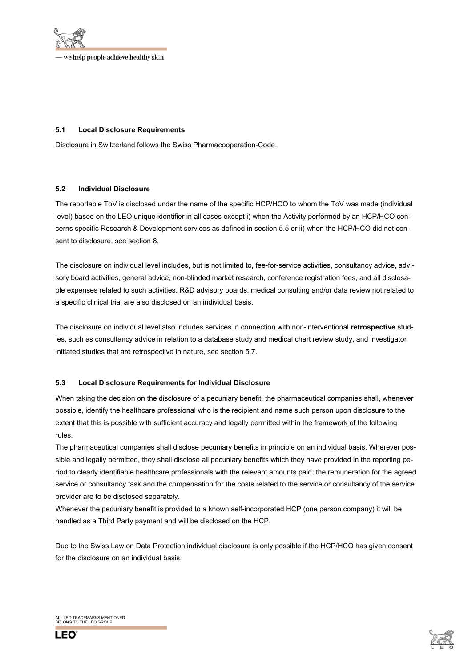

# **5.1 Local Disclosure Requirements**

Disclosure in Switzerland follows the Swiss Pharmacooperation-Code.

### **5.2 Individual Disclosure**

The reportable ToV is disclosed under the name of the specific HCP/HCO to whom the ToV was made (individual level) based on the LEO unique identifier in all cases except i) when the Activity performed by an HCP/HCO concerns specific Research & Development services as defined in section 5.5 or ii) when the HCP/HCO did not consent to disclosure, see section 8.

The disclosure on individual level includes, but is not limited to, fee-for-service activities, consultancy advice, advisory board activities, general advice, non-blinded market research, conference registration fees, and all disclosable expenses related to such activities. R&D advisory boards, medical consulting and/or data review not related to a specific clinical trial are also disclosed on an individual basis.

The disclosure on individual level also includes services in connection with non-interventional **retrospective** studies, such as consultancy advice in relation to a database study and medical chart review study, and investigator initiated studies that are retrospective in nature, see section 5.7.

### **5.3 Local Disclosure Requirements for Individual Disclosure**

When taking the decision on the disclosure of a pecuniary benefit, the pharmaceutical companies shall, whenever possible, identify the healthcare professional who is the recipient and name such person upon disclosure to the extent that this is possible with sufficient accuracy and legally permitted within the framework of the following rules.

The pharmaceutical companies shall disclose pecuniary benefits in principle on an individual basis. Wherever possible and legally permitted, they shall disclose all pecuniary benefits which they have provided in the reporting period to clearly identifiable healthcare professionals with the relevant amounts paid; the remuneration for the agreed service or consultancy task and the compensation for the costs related to the service or consultancy of the service provider are to be disclosed separately.

Whenever the pecuniary benefit is provided to a known self-incorporated HCP (one person company) it will be handled as a Third Party payment and will be disclosed on the HCP.

Due to the Swiss Law on Data Protection individual disclosure is only possible if the HCP/HCO has given consent for the disclosure on an individual basis.

ALL LEO TRADEMARKS MENTIONED BELONG TO THE LEO GROUP



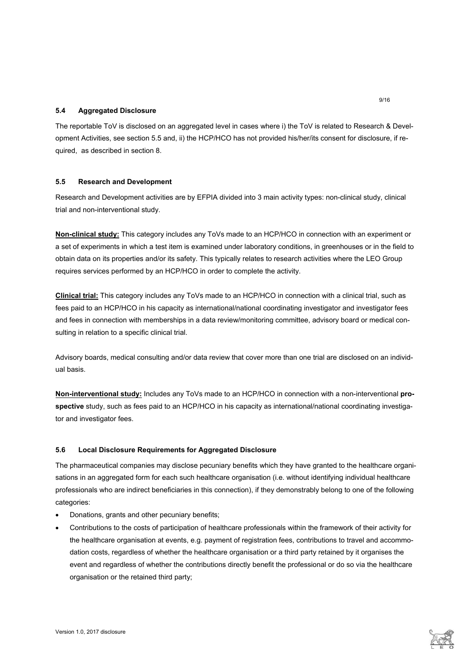# **5.4 Aggregated Disclosure**

The reportable ToV is disclosed on an aggregated level in cases where i) the ToV is related to Research & Development Activities, see section 5.5 and, ii) the HCP/HCO has not provided his/her/its consent for disclosure, if required, as described in section 8.

# **5.5 Research and Development**

Research and Development activities are by EFPIA divided into 3 main activity types: non-clinical study, clinical trial and non-interventional study.

**Non-clinical study:** This category includes any ToVs made to an HCP/HCO in connection with an experiment or a set of experiments in which a test item is examined under laboratory conditions, in greenhouses or in the field to obtain data on its properties and/or its safety. This typically relates to research activities where the LEO Group requires services performed by an HCP/HCO in order to complete the activity.

**Clinical trial:** This category includes any ToVs made to an HCP/HCO in connection with a clinical trial, such as fees paid to an HCP/HCO in his capacity as international/national coordinating investigator and investigator fees and fees in connection with memberships in a data review/monitoring committee, advisory board or medical consulting in relation to a specific clinical trial.

Advisory boards, medical consulting and/or data review that cover more than one trial are disclosed on an individual basis.

**Non-interventional study:** Includes any ToVs made to an HCP/HCO in connection with a non-interventional **prospective** study, such as fees paid to an HCP/HCO in his capacity as international/national coordinating investigator and investigator fees.

### **5.6 Local Disclosure Requirements for Aggregated Disclosure**

The pharmaceutical companies may disclose pecuniary benefits which they have granted to the healthcare organisations in an aggregated form for each such healthcare organisation (i.e. without identifying individual healthcare professionals who are indirect beneficiaries in this connection), if they demonstrably belong to one of the following categories:

- Donations, grants and other pecuniary benefits;
- Contributions to the costs of participation of healthcare professionals within the framework of their activity for the healthcare organisation at events, e.g. payment of registration fees, contributions to travel and accommodation costs, regardless of whether the healthcare organisation or a third party retained by it organises the event and regardless of whether the contributions directly benefit the professional or do so via the healthcare organisation or the retained third party;

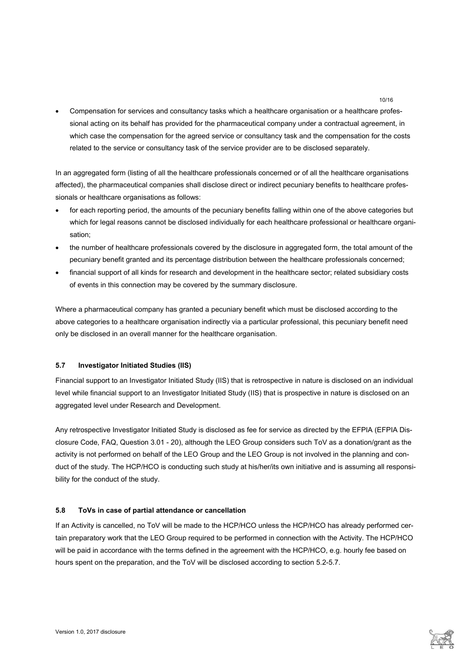Compensation for services and consultancy tasks which a healthcare organisation or a healthcare professional acting on its behalf has provided for the pharmaceutical company under a contractual agreement, in which case the compensation for the agreed service or consultancy task and the compensation for the costs related to the service or consultancy task of the service provider are to be disclosed separately.

In an aggregated form (listing of all the healthcare professionals concerned or of all the healthcare organisations affected), the pharmaceutical companies shall disclose direct or indirect pecuniary benefits to healthcare professionals or healthcare organisations as follows:

- for each reporting period, the amounts of the pecuniary benefits falling within one of the above categories but which for legal reasons cannot be disclosed individually for each healthcare professional or healthcare organisation;
- the number of healthcare professionals covered by the disclosure in aggregated form, the total amount of the pecuniary benefit granted and its percentage distribution between the healthcare professionals concerned;
- financial support of all kinds for research and development in the healthcare sector; related subsidiary costs of events in this connection may be covered by the summary disclosure.

Where a pharmaceutical company has granted a pecuniary benefit which must be disclosed according to the above categories to a healthcare organisation indirectly via a particular professional, this pecuniary benefit need only be disclosed in an overall manner for the healthcare organisation.

# **5.7 Investigator Initiated Studies (IIS)**

Financial support to an Investigator Initiated Study (IIS) that is retrospective in nature is disclosed on an individual level while financial support to an Investigator Initiated Study (IIS) that is prospective in nature is disclosed on an aggregated level under Research and Development.

Any retrospective Investigator Initiated Study is disclosed as fee for service as directed by the EFPIA (EFPIA Disclosure Code, FAQ, Question 3.01 - 20), although the LEO Group considers such ToV as a donation/grant as the activity is not performed on behalf of the LEO Group and the LEO Group is not involved in the planning and conduct of the study. The HCP/HCO is conducting such study at his/her/its own initiative and is assuming all responsibility for the conduct of the study.

# **5.8 ToVs in case of partial attendance or cancellation**

If an Activity is cancelled, no ToV will be made to the HCP/HCO unless the HCP/HCO has already performed certain preparatory work that the LEO Group required to be performed in connection with the Activity. The HCP/HCO will be paid in accordance with the terms defined in the agreement with the HCP/HCO, e.g. hourly fee based on hours spent on the preparation, and the ToV will be disclosed according to section 5.2-5.7.

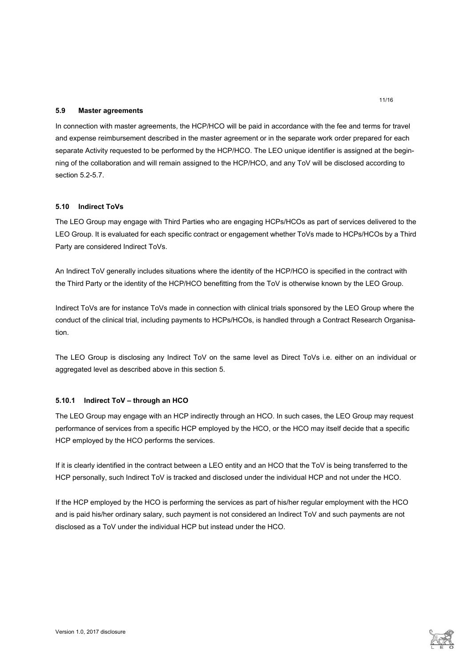### **5.9 Master agreements**

In connection with master agreements, the HCP/HCO will be paid in accordance with the fee and terms for travel and expense reimbursement described in the master agreement or in the separate work order prepared for each separate Activity requested to be performed by the HCP/HCO. The LEO unique identifier is assigned at the beginning of the collaboration and will remain assigned to the HCP/HCO, and any ToV will be disclosed according to section 5.2-5.7.

### **5.10 Indirect ToVs**

The LEO Group may engage with Third Parties who are engaging HCPs/HCOs as part of services delivered to the LEO Group. It is evaluated for each specific contract or engagement whether ToVs made to HCPs/HCOs by a Third Party are considered Indirect ToVs.

An Indirect ToV generally includes situations where the identity of the HCP/HCO is specified in the contract with the Third Party or the identity of the HCP/HCO benefitting from the ToV is otherwise known by the LEO Group.

Indirect ToVs are for instance ToVs made in connection with clinical trials sponsored by the LEO Group where the conduct of the clinical trial, including payments to HCPs/HCOs, is handled through a Contract Research Organisation.

The LEO Group is disclosing any Indirect ToV on the same level as Direct ToVs i.e. either on an individual or aggregated level as described above in this section 5.

### **5.10.1 Indirect ToV – through an HCO**

The LEO Group may engage with an HCP indirectly through an HCO. In such cases, the LEO Group may request performance of services from a specific HCP employed by the HCO, or the HCO may itself decide that a specific HCP employed by the HCO performs the services.

If it is clearly identified in the contract between a LEO entity and an HCO that the ToV is being transferred to the HCP personally, such Indirect ToV is tracked and disclosed under the individual HCP and not under the HCO.

If the HCP employed by the HCO is performing the services as part of his/her regular employment with the HCO and is paid his/her ordinary salary, such payment is not considered an Indirect ToV and such payments are not disclosed as a ToV under the individual HCP but instead under the HCO.

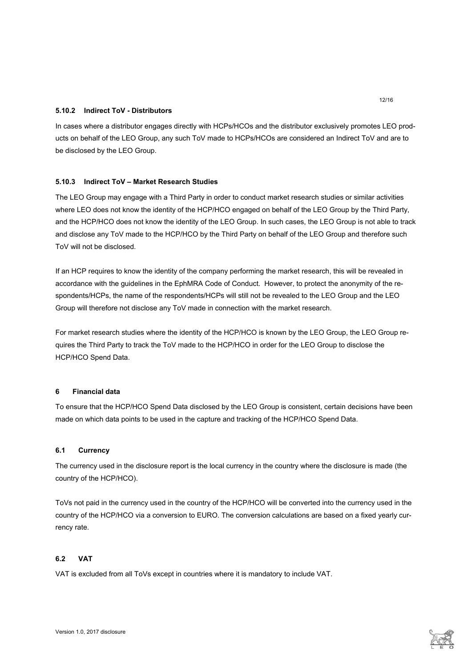# **5.10.2 Indirect ToV - Distributors**

In cases where a distributor engages directly with HCPs/HCOs and the distributor exclusively promotes LEO products on behalf of the LEO Group, any such ToV made to HCPs/HCOs are considered an Indirect ToV and are to be disclosed by the LEO Group.

# **5.10.3 Indirect ToV – Market Research Studies**

The LEO Group may engage with a Third Party in order to conduct market research studies or similar activities where LEO does not know the identity of the HCP/HCO engaged on behalf of the LEO Group by the Third Party, and the HCP/HCO does not know the identity of the LEO Group. In such cases, the LEO Group is not able to track and disclose any ToV made to the HCP/HCO by the Third Party on behalf of the LEO Group and therefore such ToV will not be disclosed.

If an HCP requires to know the identity of the company performing the market research, this will be revealed in accordance with the guidelines in the EphMRA Code of Conduct. However, to protect the anonymity of the respondents/HCPs, the name of the respondents/HCPs will still not be revealed to the LEO Group and the LEO Group will therefore not disclose any ToV made in connection with the market research.

For market research studies where the identity of the HCP/HCO is known by the LEO Group, the LEO Group requires the Third Party to track the ToV made to the HCP/HCO in order for the LEO Group to disclose the HCP/HCO Spend Data.

### **6 Financial data**

To ensure that the HCP/HCO Spend Data disclosed by the LEO Group is consistent, certain decisions have been made on which data points to be used in the capture and tracking of the HCP/HCO Spend Data.

### **6.1 Currency**

The currency used in the disclosure report is the local currency in the country where the disclosure is made (the country of the HCP/HCO).

ToVs not paid in the currency used in the country of the HCP/HCO will be converted into the currency used in the country of the HCP/HCO via a conversion to EURO. The conversion calculations are based on a fixed yearly currency rate.

### **6.2 VAT**

VAT is excluded from all ToVs except in countries where it is mandatory to include VAT.

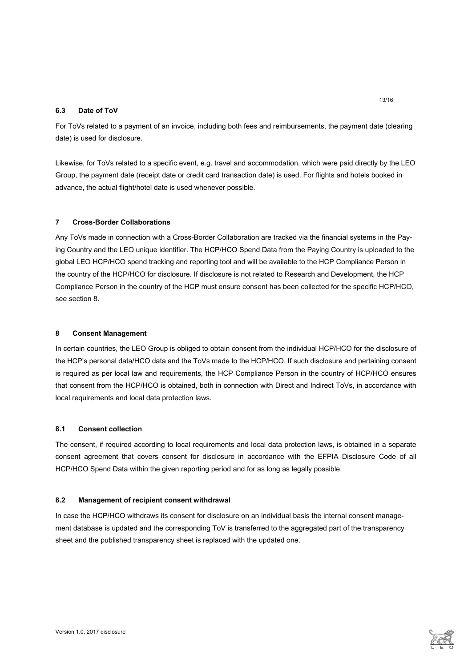# **6.3 Date of ToV**

For ToVs related to a payment of an invoice, including both fees and reimbursements, the payment date (clearing date) is used for disclosure.

Likewise, for ToVs related to a specific event, e.g. travel and accommodation, which were paid directly by the LEO Group, the payment date (receipt date or credit card transaction date) is used. For flights and hotels booked in advance, the actual flight/hotel date is used whenever possible.

# **7 Cross-Border Collaborations**

Any ToVs made in connection with a Cross-Border Collaboration are tracked via the financial systems in the Paying Country and the LEO unique identifier. The HCP/HCO Spend Data from the Paying Country is uploaded to the global LEO HCP/HCO spend tracking and reporting tool and will be available to the HCP Compliance Person in the country of the HCP/HCO for disclosure. If disclosure is not related to Research and Development, the HCP Compliance Person in the country of the HCP must ensure consent has been collected for the specific HCP/HCO, see section 8.

### **8 Consent Management**

In certain countries, the LEO Group is obliged to obtain consent from the individual HCP/HCO for the disclosure of the HCP's personal data/HCO data and the ToVs made to the HCP/HCO. If such disclosure and pertaining consent is required as per local law and requirements, the HCP Compliance Person in the country of HCP/HCO ensures that consent from the HCP/HCO is obtained, both in connection with Direct and Indirect ToVs, in accordance with local requirements and local data protection laws.

# **8.1 Consent collection**

The consent, if required according to local requirements and local data protection laws, is obtained in a separate consent agreement that covers consent for disclosure in accordance with the EFPIA Disclosure Code of all HCP/HCO Spend Data within the given reporting period and for as long as legally possible.

### **8.2 Management of recipient consent withdrawal**

In case the HCP/HCO withdraws its consent for disclosure on an individual basis the internal consent management database is updated and the corresponding ToV is transferred to the aggregated part of the transparency sheet and the published transparency sheet is replaced with the updated one.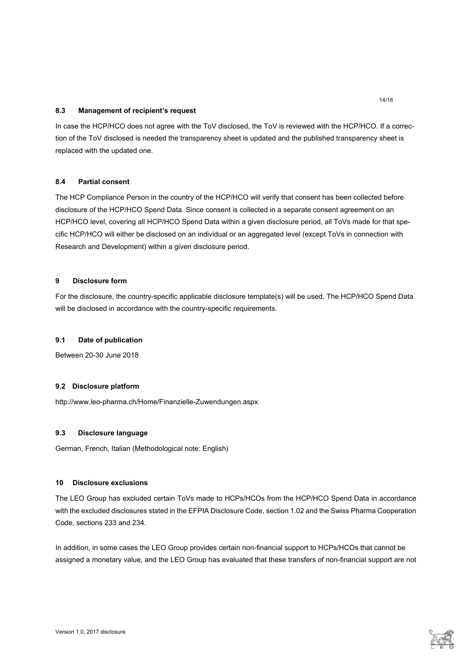# **8.3 Management of recipient's request**

In case the HCP/HCO does not agree with the ToV disclosed, the ToV is reviewed with the HCP/HCO. If a correction of the ToV disclosed is needed the transparency sheet is updated and the published transparency sheet is replaced with the updated one.

# **8.4 Partial consent**

The HCP Compliance Person in the country of the HCP/HCO will verify that consent has been collected before disclosure of the HCP/HCO Spend Data. Since consent is collected in a separate consent agreement on an HCP/HCO level, covering all HCP/HCO Spend Data within a given disclosure period, all ToVs made for that specific HCP/HCO will either be disclosed on an individual or an aggregated level (except ToVs in connection with Research and Development) within a given disclosure period.

# **9 Disclosure form**

For the disclosure, the country-specific applicable disclosure template(s) will be used. The HCP/HCO Spend Data will be disclosed in accordance with the country-specific requirements.

### **9.1 Date of publication**

Between 20-30 June 2018

### **9.2 Disclosure platform**

http://www.leo-pharma.ch/Home/Finanzielle-Zuwendungen.aspx

### **9.3 Disclosure language**

German, French, Italian (Methodological note: English)

# **10 Disclosure exclusions**

The LEO Group has excluded certain ToVs made to HCPs/HCOs from the HCP/HCO Spend Data in accordance with the excluded disclosures stated in the EFPIA Disclosure Code, section 1.02 and the Swiss Pharma Cooperation Code, sections 233 and 234.

In addition, in some cases the LEO Group provides certain non-financial support to HCPs/HCOs that cannot be assigned a monetary value, and the LEO Group has evaluated that these transfers of non-financial support are not

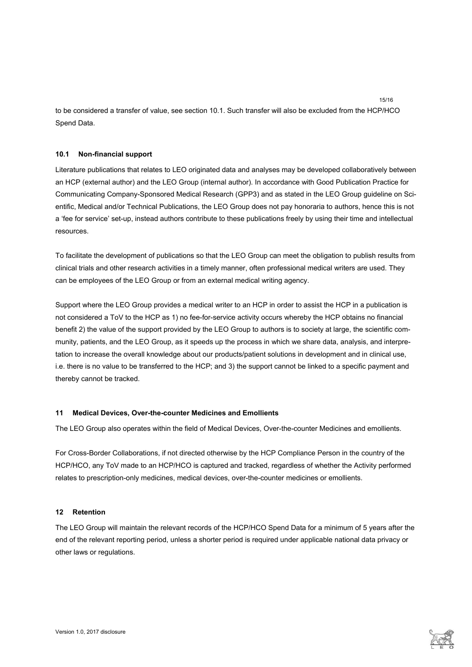to be considered a transfer of value, see section 10.1. Such transfer will also be excluded from the HCP/HCO Spend Data.

# **10.1 Non-financial support**

Literature publications that relates to LEO originated data and analyses may be developed collaboratively between an HCP (external author) and the LEO Group (internal author). In accordance with Good Publication Practice for Communicating Company-Sponsored Medical Research (GPP3) and as stated in the LEO Group guideline on Scientific, Medical and/or Technical Publications, the LEO Group does not pay honoraria to authors, hence this is not a 'fee for service' set-up, instead authors contribute to these publications freely by using their time and intellectual resources.

To facilitate the development of publications so that the LEO Group can meet the obligation to publish results from clinical trials and other research activities in a timely manner, often professional medical writers are used. They can be employees of the LEO Group or from an external medical writing agency.

Support where the LEO Group provides a medical writer to an HCP in order to assist the HCP in a publication is not considered a ToV to the HCP as 1) no fee-for-service activity occurs whereby the HCP obtains no financial benefit 2) the value of the support provided by the LEO Group to authors is to society at large, the scientific community, patients, and the LEO Group, as it speeds up the process in which we share data, analysis, and interpretation to increase the overall knowledge about our products/patient solutions in development and in clinical use, i.e. there is no value to be transferred to the HCP; and 3) the support cannot be linked to a specific payment and thereby cannot be tracked.

### **11 Medical Devices, Over-the-counter Medicines and Emollients**

The LEO Group also operates within the field of Medical Devices, Over-the-counter Medicines and emollients.

For Cross-Border Collaborations, if not directed otherwise by the HCP Compliance Person in the country of the HCP/HCO, any ToV made to an HCP/HCO is captured and tracked, regardless of whether the Activity performed relates to prescription-only medicines, medical devices, over-the-counter medicines or emollients.

### **12 Retention**

The LEO Group will maintain the relevant records of the HCP/HCO Spend Data for a minimum of 5 years after the end of the relevant reporting period, unless a shorter period is required under applicable national data privacy or other laws or regulations.